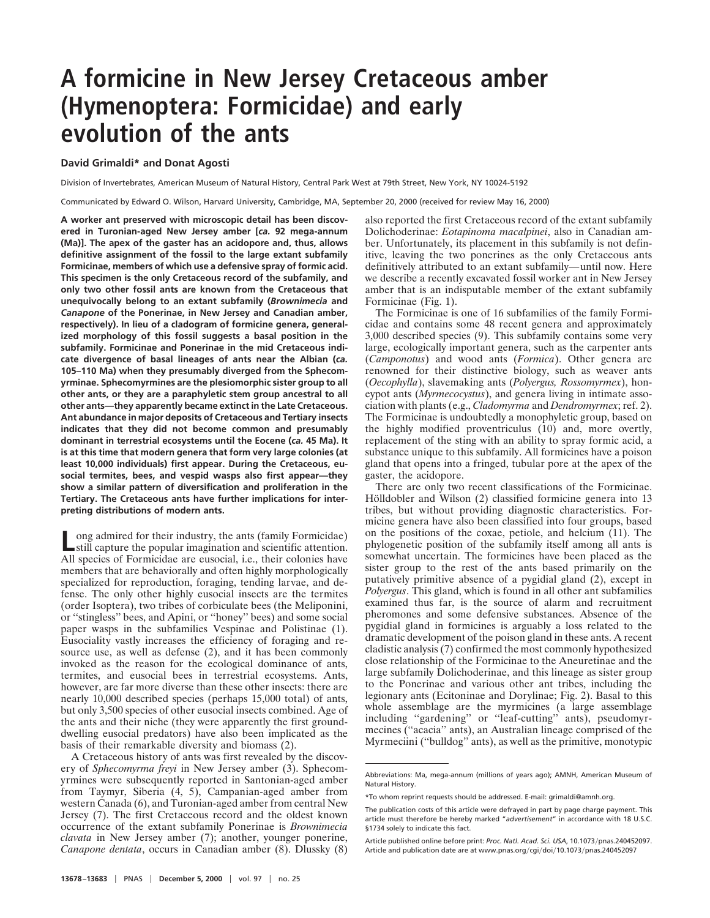## **A formicine in New Jersey Cretaceous amber (Hymenoptera: Formicidae) and early evolution of the ants**

## **David Grimaldi\* and Donat Agosti**

Division of Invertebrates, American Museum of Natural History, Central Park West at 79th Street, New York, NY 10024-5192

Communicated by Edward O. Wilson, Harvard University, Cambridge, MA, September 20, 2000 (received for review May 16, 2000)

**A worker ant preserved with microscopic detail has been discovered in Turonian-aged New Jersey amber [***ca.* **92 mega-annum (Ma)]. The apex of the gaster has an acidopore and, thus, allows definitive assignment of the fossil to the large extant subfamily Formicinae, members of which use a defensive spray of formic acid. This specimen is the only Cretaceous record of the subfamily, and only two other fossil ants are known from the Cretaceous that unequivocally belong to an extant subfamily (***Brownimecia* **and** *Canapone* **of the Ponerinae, in New Jersey and Canadian amber, respectively). In lieu of a cladogram of formicine genera, generalized morphology of this fossil suggests a basal position in the subfamily. Formicinae and Ponerinae in the mid Cretaceous indicate divergence of basal lineages of ants near the Albian (***ca.* **105–110 Ma) when they presumably diverged from the Sphecomyrminae. Sphecomyrmines are the plesiomorphic sister group to all other ants, or they are a paraphyletic stem group ancestral to all other ants—they apparently became extinct in the Late Cretaceous. Ant abundance in major deposits of Cretaceous and Tertiary insects indicates that they did not become common and presumably dominant in terrestrial ecosystems until the Eocene (***ca.* **45 Ma). It is at this time that modern genera that form very large colonies (at least 10,000 individuals) first appear. During the Cretaceous, eusocial termites, bees, and vespid wasps also first appear—they show a similar pattern of diversification and proliferation in the Tertiary. The Cretaceous ants have further implications for interpreting distributions of modern ants.**

ong admired for their industry, the ants (family Formicidae) still capture the popular imagination and scientific attention. All species of Formicidae are eusocial, i.e., their colonies have members that are behaviorally and often highly morphologically specialized for reproduction, foraging, tending larvae, and defense. The only other highly eusocial insects are the termites (order Isoptera), two tribes of corbiculate bees (the Meliponini, or ''stingless'' bees, and Apini, or ''honey'' bees) and some social paper wasps in the subfamilies Vespinae and Polistinae (1). Eusociality vastly increases the efficiency of foraging and resource use, as well as defense (2), and it has been commonly invoked as the reason for the ecological dominance of ants, termites, and eusocial bees in terrestrial ecosystems. Ants, however, are far more diverse than these other insects: there are nearly 10,000 described species (perhaps 15,000 total) of ants, but only 3,500 species of other eusocial insects combined. Age of the ants and their niche (they were apparently the first grounddwelling eusocial predators) have also been implicated as the basis of their remarkable diversity and biomass (2).

A Cretaceous history of ants was first revealed by the discovery of *Sphecomyrma freyi* in New Jersey amber (3). Sphecomyrmines were subsequently reported in Santonian-aged amber from Taymyr, Siberia (4, 5), Campanian-aged amber from western Canada (6), and Turonian-aged amber from central New Jersey (7). The first Cretaceous record and the oldest known occurrence of the extant subfamily Ponerinae is *Brownimecia clavata* in New Jersey amber (7); another, younger ponerine, *Canapone dentata*, occurs in Canadian amber (8). Dlussky (8)

also reported the first Cretaceous record of the extant subfamily Dolichoderinae: *Eotapinoma macalpinei*, also in Canadian amber. Unfortunately, its placement in this subfamily is not definitive, leaving the two ponerines as the only Cretaceous ants definitively attributed to an extant subfamily—until now. Here we describe a recently excavated fossil worker ant in New Jersey amber that is an indisputable member of the extant subfamily Formicinae (Fig. 1).

The Formicinae is one of 16 subfamilies of the family Formicidae and contains some 48 recent genera and approximately 3,000 described species (9). This subfamily contains some very large, ecologically important genera, such as the carpenter ants (*Camponotus*) and wood ants (*Formica*). Other genera are renowned for their distinctive biology, such as weaver ants (*Oecophylla*), slavemaking ants (*Polyergus, Rossomyrmex*), honeypot ants (*Myrmecocystus*), and genera living in intimate association with plants (e.g., *Cladomyrma* and *Dendromyrmex*; ref. 2). The Formicinae is undoubtedly a monophyletic group, based on the highly modified proventriculus (10) and, more overtly, replacement of the sting with an ability to spray formic acid, a substance unique to this subfamily. All formicines have a poison gland that opens into a fringed, tubular pore at the apex of the gaster, the acidopore.

There are only two recent classifications of the Formicinae. Hölldobler and Wilson (2) classified formicine genera into 13 tribes, but without providing diagnostic characteristics. Formicine genera have also been classified into four groups, based on the positions of the coxae, petiole, and helcium (11). The phylogenetic position of the subfamily itself among all ants is somewhat uncertain. The formicines have been placed as the sister group to the rest of the ants based primarily on the putatively primitive absence of a pygidial gland (2), except in *Polyergus*. This gland, which is found in all other ant subfamilies examined thus far, is the source of alarm and recruitment pheromones and some defensive substances. Absence of the pygidial gland in formicines is arguably a loss related to the dramatic development of the poison gland in these ants. A recent cladistic analysis (7) confirmed the most commonly hypothesized close relationship of the Formicinae to the Aneuretinae and the large subfamily Dolichoderinae, and this lineage as sister group to the Ponerinae and various other ant tribes, including the legionary ants (Ecitoninae and Dorylinae; Fig. 2). Basal to this whole assemblage are the myrmicines (a large assemblage including ''gardening'' or ''leaf-cutting'' ants), pseudomyrmecines (''acacia'' ants), an Australian lineage comprised of the Myrmeciini (''bulldog'' ants), as well as the primitive, monotypic

Abbreviations: Ma, mega-annum (millions of years ago); AMNH, American Museum of Natural History.

<sup>\*</sup>To whom reprint requests should be addressed. E-mail: grimaldi@amnh.org.

The publication costs of this article were defrayed in part by page charge payment. This article must therefore be hereby marked "*advertisement*" in accordance with 18 U.S.C. §1734 solely to indicate this fact.

Article published online before print: Proc. Natl. Acad. Sci. USA, 10.1073/pnas.240452097. Article and publication date are at www.pnas.org/cgi/doi/10.1073/pnas.240452097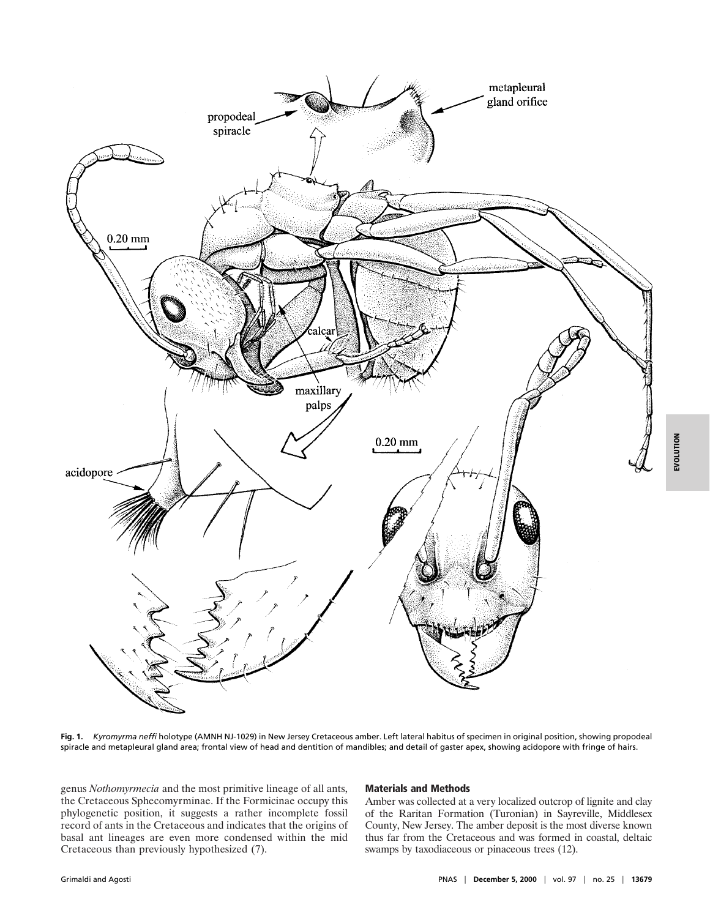

**Fig. 1.** *Kyromyrma neffi* holotype (AMNH NJ-1029) in New Jersey Cretaceous amber. Left lateral habitus of specimen in original position, showing propodeal spiracle and metapleural gland area; frontal view of head and dentition of mandibles; and detail of gaster apex, showing acidopore with fringe of hairs.

genus *Nothomyrmecia* and the most primitive lineage of all ants, the Cretaceous Sphecomyrminae. If the Formicinae occupy this phylogenetic position, it suggests a rather incomplete fossil record of ants in the Cretaceous and indicates that the origins of basal ant lineages are even more condensed within the mid Cretaceous than previously hypothesized (7).

## Materials and Methods

Amber was collected at a very localized outcrop of lignite and clay of the Raritan Formation (Turonian) in Sayreville, Middlesex County, New Jersey. The amber deposit is the most diverse known thus far from the Cretaceous and was formed in coastal, deltaic swamps by taxodiaceous or pinaceous trees (12).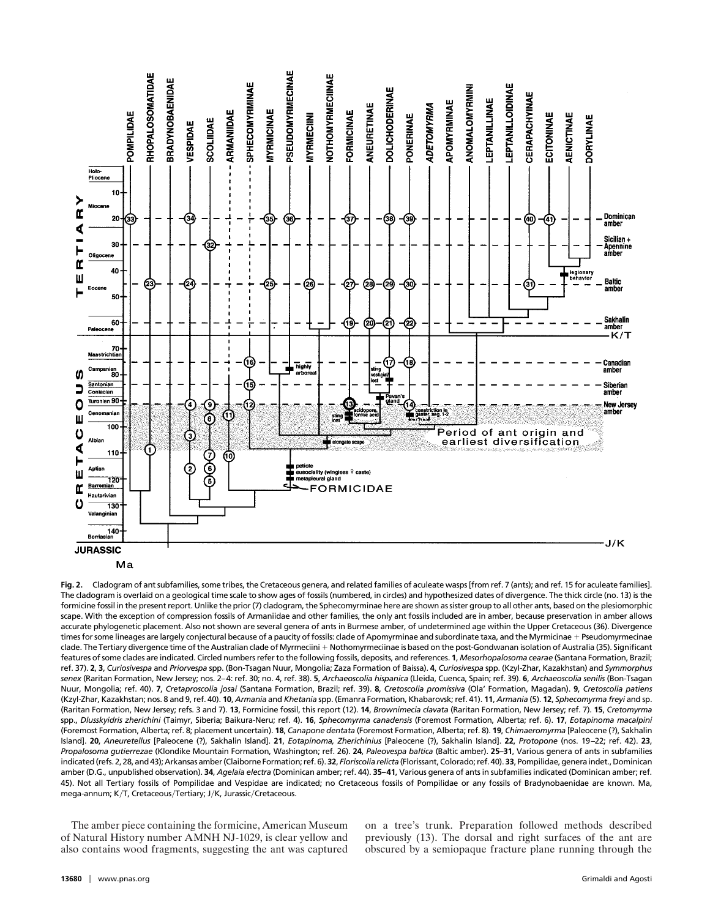

**Fig. 2.** Cladogram of ant subfamilies, some tribes, the Cretaceous genera, and related families of aculeate wasps [from ref. 7 (ants); and ref. 15 for aculeate families]. The cladogram is overlaid on a geological time scale to show ages of fossils (numbered, in circles) and hypothesized dates of divergence. The thick circle (no. 13) is the formicine fossil in the present report. Unlike the prior (7) cladogram, the Sphecomyrminae here are shown as sister group to all other ants, based on the plesiomorphic scape. With the exception of compression fossils of Armaniidae and other families, the only ant fossils included are in amber, because preservation in amber allows accurate phylogenetic placement. Also not shown are several genera of ants in Burmese amber, of undetermined age within the Upper Cretaceous (36). Divergence times for some lineages are largely conjectural because of a paucity of fossils: clade of Apomyrminae and subordinate taxa, and the Myrmicinae + Pseudomyrmecinae clade. The Tertiary divergence time of the Australian clade of Myrmeciini + Nothomyrmeciinae is based on the post-Gondwanan isolation of Australia (35). Significant features of some clades are indicated. Circled numbers refer to the following fossils, deposits, and references. **1**, *Mesorhopalosoma cearae* (Santana Formation, Brazil; ref. 37). **2**, **3**, *Curiosivespa* and *Priorvespa* spp. (Bon-Tsagan Nuur, Mongolia; Zaza Formation of Baissa). **4**, *Curiosivespa* spp. (Kzyl-Zhar, Kazakhstan) and *Symmorphus senex* (Raritan Formation, New Jersey; nos. 2–4: ref. 30; no. 4, ref. 38). **5**, *Archaeoscolia hispanica* (Lleida, Cuenca, Spain; ref. 39). **6**, *Archaeoscolia senilis* (Bon-Tsagan Nuur, Mongolia; ref. 40). **7**, *Cretaproscolia josai* (Santana Formation, Brazil; ref. 39). **8**, *Cretoscolia promissiva* (Ola' Formation, Magadan). **9**, *Cretoscolia patiens* (Kzyl-Zhar, Kazakhstan; nos. 8 and 9, ref. 40). **10**, *Armania* and *Khetania* spp. (Emanra Formation, Khabarovsk; ref. 41). **11**, *Armania* (5). **12**, *Sphecomyrma freyi* and sp. (Raritan Formation, New Jersey; refs. 3 and 7). **13**, Formicine fossil, this report (12). **14**, *Brownimecia clavata* (Raritan Formation, New Jersey; ref. 7). **15**, *Cretomyrma* spp., *Dlusskyidris zherichini* (Taimyr, Siberia; Baikura-Neru; ref. 4). **16**, *Sphecomyrma canadensis* (Foremost Formation, Alberta; ref. 6). **17**, *Eotapinoma macalpini* (Foremost Formation, Alberta; ref. 8; placement uncertain). **18**, *Canapone dentata* (Foremost Formation, Alberta; ref. 8). **19**, *Chimaeromyrma* [Paleocene (?), Sakhalin Island]. **20**, *Aneuretellus* [Paleocene (?), Sakhalin Island]. **21**, *Eotapinoma, Zherichinius* [Paleocene (?), Sakhalin Island]. **22**, *Protopone* (nos. 19 –22; ref. 42). **23**, *Propalosoma gutierrezae* (Klondike Mountain Formation, Washington; ref. 26). **24**, *Paleovespa baltica* (Baltic amber). **25–31**, Various genera of ants in subfamilies indicated (refs. 2, 28, and 43); Arkansas amber (Claiborne Formation; ref. 6).**32**, *Floriscolia relicta*(Florissant, Colorado; ref. 40).**33**, Pompilidae, generaindet., Dominican amber (D.G., unpublished observation). **34**, *Agelaia electra* (Dominican amber; ref. 44). **35–41**, Various genera of ants in subfamilies indicated (Dominican amber; ref. 45). Not all Tertiary fossils of Pompilidae and Vespidae are indicated; no Cretaceous fossils of Pompilidae or any fossils of Bradynobaenidae are known. Ma, mega-annum; K/T, Cretaceous/Tertiary; J/K, Jurassic/Cretaceous.

The amber piece containing the formicine, American Museum of Natural History number AMNH NJ-1029, is clear yellow and also contains wood fragments, suggesting the ant was captured on a tree's trunk. Preparation followed methods described previously (13). The dorsal and right surfaces of the ant are obscured by a semiopaque fracture plane running through the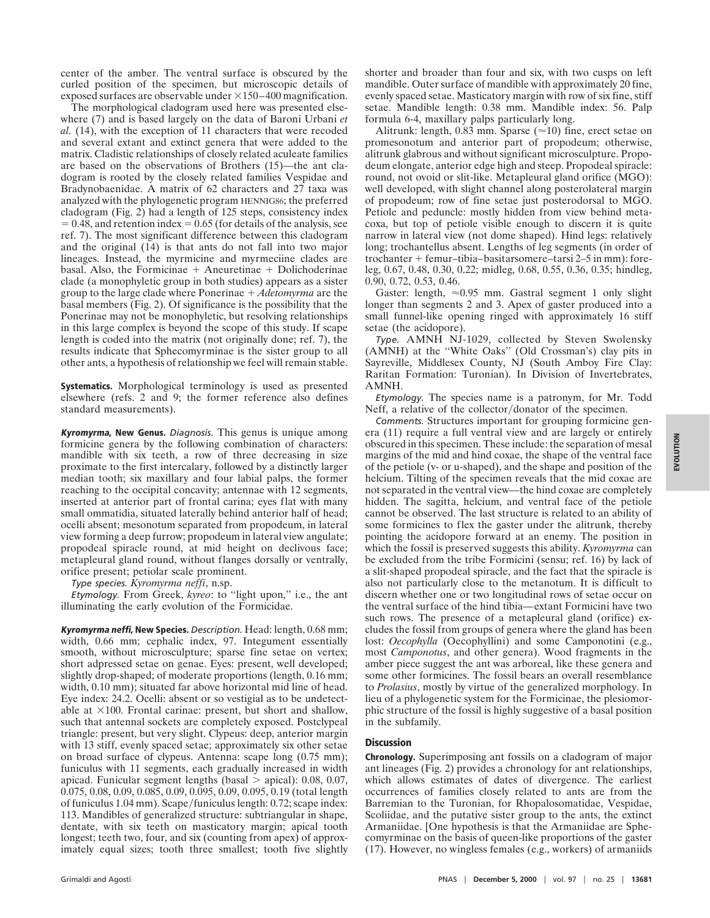center of the amber. The ventral surface is obscured by the curled position of the specimen, but microscopic details of exposed surfaces are observable under  $\times$ 150–400 magnification.

The morphological cladogram used here was presented elsewhere (7) and is based largely on the data of Baroni Urbani *et al.* (14), with the exception of 11 characters that were recoded and several extant and extinct genera that were added to the matrix. Cladistic relationships of closely related aculeate families are based on the observations of Brothers (15)—the ant cladogram is rooted by the closely related families Vespidae and Bradynobaenidae. A matrix of 62 characters and 27 taxa was analyzed with the phylogenetic program HENNIG86; the preferred cladogram (Fig. 2) had a length of 125 steps, consistency index  $= 0.48$ , and retention index  $= 0.65$  (for details of the analysis, see ref. 7). The most significant difference between this cladogram and the original (14) is that ants do not fall into two major lineages. Instead, the myrmicine and myrmeciine clades are basal. Also, the Formicinae  $+$  Aneuretinae  $+$  Dolichoderinae clade (a monophyletic group in both studies) appears as a sister group to the large clade where Ponerinae ! *Adetomyrma* are the basal members (Fig. 2). Of significance is the possibility that the Ponerinae may not be monophyletic, but resolving relationships in this large complex is beyond the scope of this study. If scape length is coded into the matrix (not originally done; ref. 7), the results indicate that Sphecomyrminae is the sister group to all other ants, a hypothesis of relationship we feel will remain stable.

Systematics. Morphological terminology is used as presented elsewhere (refs. 2 and 9; the former reference also defines standard measurements).

Kyromyrma, New Genus. *Diagnosis.* This genus is unique among formicine genera by the following combination of characters: mandible with six teeth, a row of three decreasing in size proximate to the first intercalary, followed by a distinctly larger median tooth; six maxillary and four labial palps, the former reaching to the occipital concavity; antennae with 12 segments, inserted at anterior part of frontal carina; eyes flat with many small ommatidia, situated laterally behind anterior half of head; ocelli absent; mesonotum separated from propodeum, in lateral view forming a deep furrow; propodeum in lateral view angulate; propodeal spiracle round, at mid height on declivous face; metapleural gland round, without flanges dorsally or ventrally, orifice present; petiolar scale prominent.

*Type species. Kyromyrma neffi*, n.sp.

*Etymology.* From Greek, *kyreo*: to ''light upon,'' i.e., the ant illuminating the early evolution of the Formicidae.

Kyromyrma neffi, New Species. *Description.* Head: length, 0.68 mm; width, 0.66 mm; cephalic index, 97. Integument essentially smooth, without microsculpture; sparse fine setae on vertex; short adpressed setae on genae. Eyes: present, well developed; slightly drop-shaped; of moderate proportions (length, 0.16 mm; width, 0.10 mm); situated far above horizontal mid line of head. Eye index: 24.2. Ocelli: absent or so vestigial as to be undetectable at  $\times$ 100. Frontal carinae: present, but short and shallow, such that antennal sockets are completely exposed. Postclypeal triangle: present, but very slight. Clypeus: deep, anterior margin with 13 stiff, evenly spaced setae; approximately six other setae on broad surface of clypeus. Antenna: scape long (0.75 mm); funiculus with 11 segments, each gradually increased in width apicad. Funicular segment lengths (basal  $>$  apical): 0.08, 0.07, 0.075, 0.08, 0.09, 0.085, 0.09, 0.095, 0.09, 0.095, 0.19 (total length of funiculus 1.04 mm). Scape/funiculus length:  $0.72$ ; scape index: 113. Mandibles of generalized structure: subtriangular in shape, dentate, with six teeth on masticatory margin; apical tooth longest; teeth two, four, and six (counting from apex) of approximately equal sizes; tooth three smallest; tooth five slightly shorter and broader than four and six, with two cusps on left mandible. Outer surface of mandible with approximately 20 fine, evenly spaced setae. Masticatory margin with row of six fine, stiff setae. Mandible length: 0.38 mm. Mandible index: 56. Palp formula 6-4, maxillary palps particularly long.

Alitrunk: length, 0.83 mm. Sparse ( $\approx$ 10) fine, erect setae on promesonotum and anterior part of propodeum; otherwise, alitrunk glabrous and without significant microsculpture. Propodeum elongate, anterior edge high and steep. Propodeal spiracle: round, not ovoid or slit-like. Metapleural gland orifice (MGO): well developed, with slight channel along posterolateral margin of propodeum; row of fine setae just posterodorsal to MGO. Petiole and peduncle: mostly hidden from view behind metacoxa, but top of petiole visible enough to discern it is quite narrow in lateral view (not dome shaped). Hind legs: relatively long; trochantellus absent. Lengths of leg segments (in order of trochanter ! femur–tibia–basitarsomere–tarsi 2–5 in mm): foreleg, 0.67, 0.48, 0.30, 0.22; midleg, 0.68, 0.55, 0.36, 0.35; hindleg, 0.90, 0.72, 0.53, 0.46.

Gaster: length,  $\approx 0.95$  mm. Gastral segment 1 only slight longer than segments 2 and 3. Apex of gaster produced into a small funnel-like opening ringed with approximately 16 stiff setae (the acidopore).

*Type.* AMNH NJ-1029, collected by Steven Swolensky (AMNH) at the ''White Oaks'' (Old Crossman's) clay pits in Sayreville, Middlesex County, NJ (South Amboy Fire Clay: Raritan Formation: Turonian). In Division of Invertebrates, AMNH.

*Etymology.* The species name is a patronym, for Mr. Todd Neff, a relative of the collector/donator of the specimen.

*Comments.* Structures important for grouping formicine genera (11) require a full ventral view and are largely or entirely obscured in this specimen. These include: the separation of mesal margins of the mid and hind coxae, the shape of the ventral face of the petiole (v- or u-shaped), and the shape and position of the helcium. Tilting of the specimen reveals that the mid coxae are not separated in the ventral view—the hind coxae are completely hidden. The sagitta, helcium, and ventral face of the petiole cannot be observed. The last structure is related to an ability of some formicines to flex the gaster under the alitrunk, thereby pointing the acidopore forward at an enemy. The position in which the fossil is preserved suggests this ability. *Kyromyrma* can be excluded from the tribe Formicini (sensu; ref. 16) by lack of a slit-shaped propodeal spiracle, and the fact that the spiracle is also not particularly close to the metanotum. It is difficult to discern whether one or two longitudinal rows of setae occur on the ventral surface of the hind tibia—extant Formicini have two such rows. The presence of a metapleural gland (orifice) excludes the fossil from groups of genera where the gland has been lost: *Oecophylla* (Oecophyllini) and some Camponotini (e.g., most *Camponotus*, and other genera). Wood fragments in the amber piece suggest the ant was arboreal, like these genera and some other formicines. The fossil bears an overall resemblance to *Prolasius*, mostly by virtue of the generalized morphology. In lieu of a phylogenetic system for the Formicinae, the plesiomorphic structure of the fossil is highly suggestive of a basal position in the subfamily.

## **Discussion**

Chronology. Superimposing ant fossils on a cladogram of major ant lineages (Fig. 2) provides a chronology for ant relationships, which allows estimates of dates of divergence. The earliest occurrences of families closely related to ants are from the Barremian to the Turonian, for Rhopalosomatidae, Vespidae, Scoliidae, and the putative sister group to the ants, the extinct Armaniidae. [One hypothesis is that the Armaniidae are Sphecomyrminae on the basis of queen-like proportions of the gaster (17). However, no wingless females (e.g., workers) of armaniids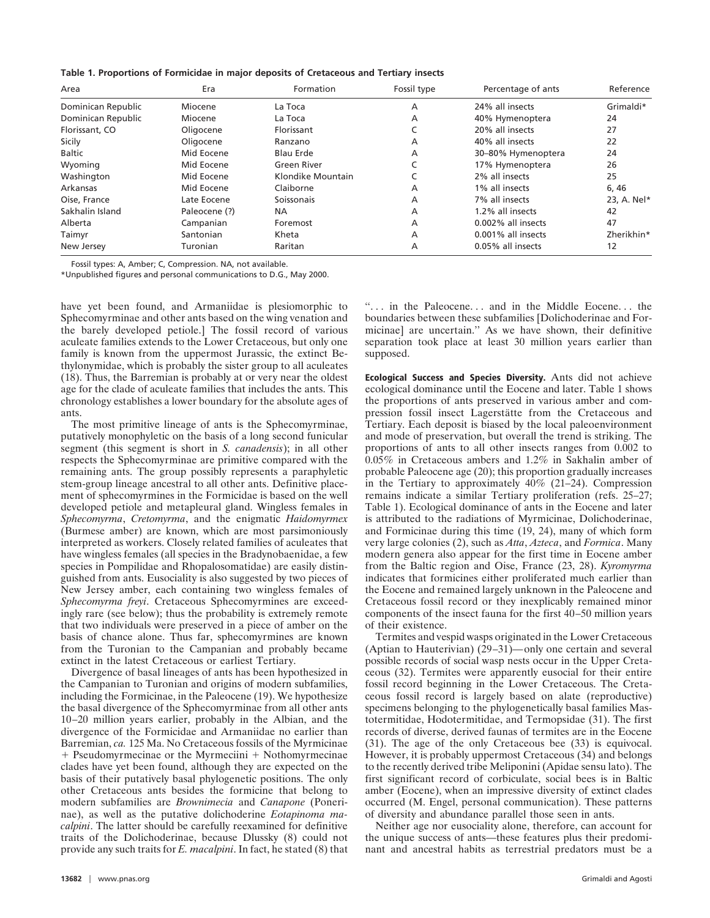| Area               | Era           | Formation         | Fossil type    | Percentage of ants | Reference   |
|--------------------|---------------|-------------------|----------------|--------------------|-------------|
| Dominican Republic | Miocene       | La Toca           | A              | 24% all insects    | Grimaldi*   |
| Dominican Republic | Miocene       | La Toca           | A              | 40% Hymenoptera    | 24          |
| Florissant, CO     | Oligocene     | Florissant        |                | 20% all insects    | 27          |
| Sicily             | Oligocene     | Ranzano           | A              | 40% all insects    | 22          |
| <b>Baltic</b>      | Mid Eocene    | <b>Blau Erde</b>  | $\overline{A}$ | 30-80% Hymenoptera | 24          |
| Wyoming            | Mid Eocene    | Green River       | C              | 17% Hymenoptera    | 26          |
| Washington         | Mid Eocene    | Klondike Mountain |                | 2% all insects     | 25          |
| Arkansas           | Mid Eocene    | Claiborne         | A              | 1% all insects     | 6, 46       |
| Oise, France       | Late Eocene   | Soissonais        | A              | 7% all insects     | 23, A. Nel* |
| Sakhalin Island    | Paleocene (?) | <b>NA</b>         | $\overline{A}$ | 1.2% all insects   | 42          |
| Alberta            | Campanian     | Foremost          | A              | 0.002% all insects | 47          |
| Taimyr             | Santonian     | Kheta             | A              | 0.001% all insects | Zherikhin*  |
| New Jersey         | Turonian      | Raritan           | A              | 0.05% all insects  | 12          |

Fossil types: A, Amber; C, Compression. NA, not available.

\*Unpublished figures and personal communications to D.G., May 2000.

have yet been found, and Armaniidae is plesiomorphic to Sphecomyrminae and other ants based on the wing venation and the barely developed petiole.] The fossil record of various aculeate families extends to the Lower Cretaceous, but only one family is known from the uppermost Jurassic, the extinct Bethylonymidae, which is probably the sister group to all aculeates (18). Thus, the Barremian is probably at or very near the oldest age for the clade of aculeate families that includes the ants. This chronology establishes a lower boundary for the absolute ages of ants.

The most primitive lineage of ants is the Sphecomyrminae, putatively monophyletic on the basis of a long second funicular segment (this segment is short in *S. canadensis*); in all other respects the Sphecomyrminae are primitive compared with the remaining ants. The group possibly represents a paraphyletic stem-group lineage ancestral to all other ants. Definitive placement of sphecomyrmines in the Formicidae is based on the well developed petiole and metapleural gland. Wingless females in *Sphecomyrma*, *Cretomyrma*, and the enigmatic *Haidomyrmex* (Burmese amber) are known, which are most parsimoniously interpreted as workers. Closely related families of aculeates that have wingless females (all species in the Bradynobaenidae, a few species in Pompilidae and Rhopalosomatidae) are easily distinguished from ants. Eusociality is also suggested by two pieces of New Jersey amber, each containing two wingless females of *Sphecomyrma freyi*. Cretaceous Sphecomyrmines are exceedingly rare (see below); thus the probability is extremely remote that two individuals were preserved in a piece of amber on the basis of chance alone. Thus far, sphecomyrmines are known from the Turonian to the Campanian and probably became extinct in the latest Cretaceous or earliest Tertiary.

Divergence of basal lineages of ants has been hypothesized in the Campanian to Turonian and origins of modern subfamilies, including the Formicinae, in the Paleocene (19). We hypothesize the basal divergence of the Sphecomyrminae from all other ants 10–20 million years earlier, probably in the Albian, and the divergence of the Formicidae and Armaniidae no earlier than Barremian, *ca.* 125 Ma. No Cretaceous fossils of the Myrmicinae  $+$  Pseudomyrmecinae or the Myrmeciini  $+$  Nothomyrmecinae clades have yet been found, although they are expected on the basis of their putatively basal phylogenetic positions. The only other Cretaceous ants besides the formicine that belong to modern subfamilies are *Brownimecia* and *Canapone* (Ponerinae), as well as the putative dolichoderine *Eotapinoma macalpini*. The latter should be carefully reexamined for definitive traits of the Dolichoderinae, because Dlussky (8) could not provide any such traits for *E. macalpini*. In fact, he stated (8) that "... in the Paleocene... and in the Middle Eocene... the boundaries between these subfamilies [Dolichoderinae and Formicinae] are uncertain.'' As we have shown, their definitive separation took place at least 30 million years earlier than supposed.

Ecological Success and Species Diversity. Ants did not achieve ecological dominance until the Eocene and later. Table 1 shows the proportions of ants preserved in various amber and compression fossil insect Lagerstätte from the Cretaceous and Tertiary. Each deposit is biased by the local paleoenvironment and mode of preservation, but overall the trend is striking. The proportions of ants to all other insects ranges from 0.002 to 0.05% in Cretaceous ambers and 1.2% in Sakhalin amber of probable Paleocene age (20); this proportion gradually increases in the Tertiary to approximately 40% (21–24). Compression remains indicate a similar Tertiary proliferation (refs. 25–27; Table 1). Ecological dominance of ants in the Eocene and later is attributed to the radiations of Myrmicinae, Dolichoderinae, and Formicinae during this time (19, 24), many of which form very large colonies (2), such as *Atta*, *Azteca*, and *Formica*. Many modern genera also appear for the first time in Eocene amber from the Baltic region and Oise, France (23, 28). *Kyromyrma* indicates that formicines either proliferated much earlier than the Eocene and remained largely unknown in the Paleocene and Cretaceous fossil record or they inexplicably remained minor components of the insect fauna for the first 40–50 million years of their existence.

Termites and vespid wasps originated in the Lower Cretaceous (Aptian to Hauterivian)  $(29-31)$ —only one certain and several possible records of social wasp nests occur in the Upper Cretaceous (32). Termites were apparently eusocial for their entire fossil record beginning in the Lower Cretaceous. The Cretaceous fossil record is largely based on alate (reproductive) specimens belonging to the phylogenetically basal families Mastotermitidae, Hodotermitidae, and Termopsidae (31). The first records of diverse, derived faunas of termites are in the Eocene (31). The age of the only Cretaceous bee (33) is equivocal. However, it is probably uppermost Cretaceous (34) and belongs to the recently derived tribe Meliponini (Apidae sensu lato). The first significant record of corbiculate, social bees is in Baltic amber (Eocene), when an impressive diversity of extinct clades occurred (M. Engel, personal communication). These patterns of diversity and abundance parallel those seen in ants.

Neither age nor eusociality alone, therefore, can account for the unique success of ants—these features plus their predominant and ancestral habits as terrestrial predators must be a